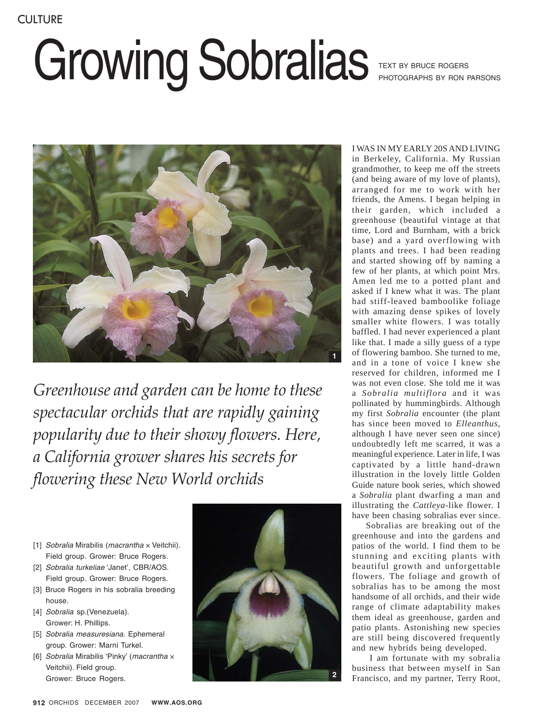## Growing Sobralias

TEXT BY BRUCE ROGERS PHOTOGRAPHS BY RON PARSONS



*Greenhouse and garden can be home to these spectacular orchids that are rapidly gaining popularity due to their showy flowers. Here, a California grower shares his secrets for flowering these New World orchids*

- [1] Sobralia Mirabilis (macrantha  $\times$  Veitchii). Field group. Grower: Bruce Rogers.
- [2] Sobralia turkeliae 'Janet', CBR/AOS. Field group. Grower: Bruce Rogers.
- [3] Bruce Rogers in his sobralia breeding house.
- [4] Sobralia sp.(Venezuela). Grower: H. Phillips.
- [5] Sobralia measuresiana. Ephemeral group. Grower: Marni Turkel.
- [6] Sobralia Mirabilis 'Pinky' (macrantha x Veitchii). Field group. Grower: Bruce Rogers.



I WAS IN MY EARLY 20S AND LIVING in Berkeley, California. My Russian grandmother, to keep me off the streets (and being aware of my love of plants), arranged for me to work with her friends, the Amens. I began helping in their garden, which included a greenhouse (beautiful vintage at that time, Lord and Burnham, with a brick base) and a yard overflowing with plants and trees. I had been reading and started showing off by naming a few of her plants, at which point Mrs. Amen led me to a potted plant and asked if I knew what it was. The plant had stiff-leaved bamboolike foliage with amazing dense spikes of lovely smaller white flowers. I was totally baffled. I had never experienced a plant like that. I made a silly guess of a type of flowering bamboo. She turned to me, and in a tone of voice I knew she reserved for children, informed me I was not even close. She told me it was a *Sobralia multiflora* and it was pollinated by hummingbirds. Although my first *Sobralia* encounter (the plant has since been moved to *Elleanthus*, although I have never seen one since) undoubtedly left me scarred, it was a meaningful experience. Later in life, I was captivated by a little hand-drawn illustration in the lovely little Golden Guide nature book series, which showed a *Sobralia* plant dwarfing a man and illustrating the *Cattleya*-like flower. I have been chasing sobralias ever since.

Sobralias are breaking out of the greenhouse and into the gardens and patios of the world. I find them to be stunning and exciting plants with beautiful growth and unforgettable flowers. The foliage and growth of sobralias has to be among the most handsome of all orchids, and their wide range of climate adaptability makes them ideal as greenhouse, garden and patio plants. Astonishing new species are still being discovered frequently and new hybrids being developed.

 I am fortunate with my sobralia business that between myself in San Francisco, and my partner, Terry Root,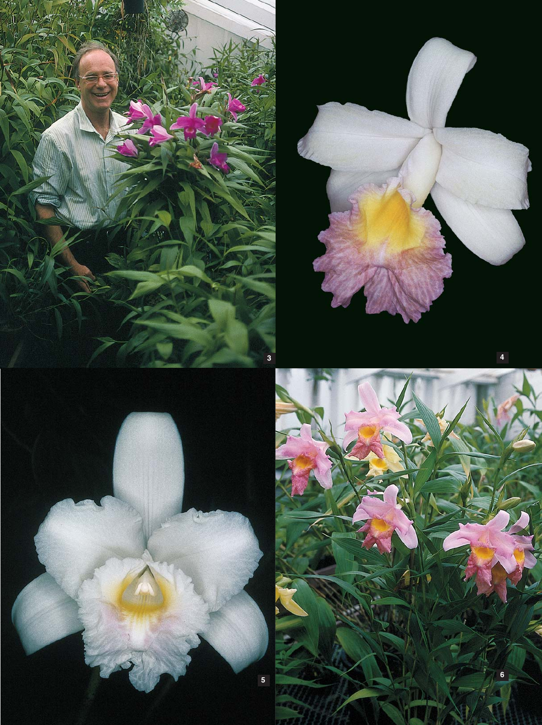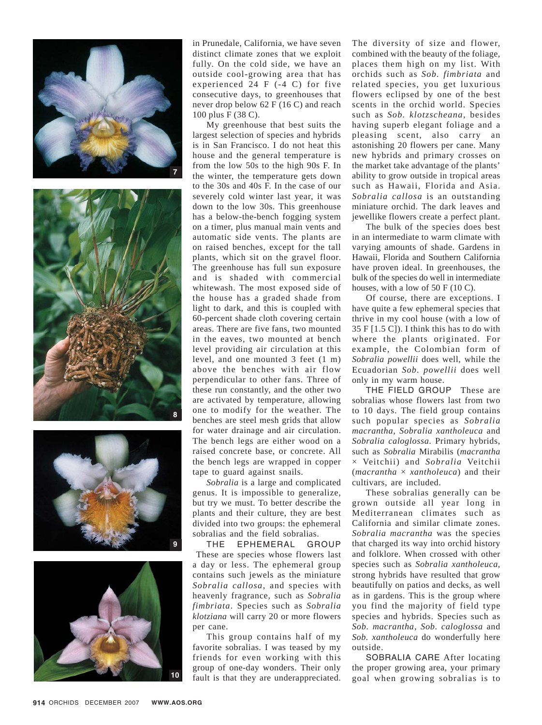





in Prunedale, California, we have seven distinct climate zones that we exploit fully. On the cold side, we have an outside cool-growing area that has experienced 24 F (-4 C) for five consecutive days, to greenhouses that never drop below 62 F (16 C) and reach 100 plus F (38 C).

My greenhouse that best suits the largest selection of species and hybrids is in San Francisco. I do not heat this house and the general temperature is from the low 50s to the high 90s F. In the winter, the temperature gets down to the 30s and 40s F. In the case of our severely cold winter last year, it was down to the low 30s. This greenhouse has a below-the-bench fogging system on a timer, plus manual main vents and automatic side vents. The plants are on raised benches, except for the tall plants, which sit on the gravel floor. The greenhouse has full sun exposure and is shaded with commercial whitewash. The most exposed side of the house has a graded shade from light to dark, and this is coupled with 60-percent shade cloth covering certain areas. There are five fans, two mounted in the eaves, two mounted at bench level providing air circulation at this level, and one mounted 3 feet (1 m) above the benches with air flow perpendicular to other fans. Three of these run constantly, and the other two are activated by temperature, allowing one to modify for the weather. The benches are steel mesh grids that allow for water drainage and air circulation. The bench legs are either wood on a raised concrete base, or concrete. All the bench legs are wrapped in copper tape to guard against snails.

*Sobralia* is a large and complicated genus. It is impossible to generalize, but try we must. To better describe the plants and their culture, they are best divided into two groups: the ephemeral sobralias and the field sobralias.

THE EPHEMERAL GROUP These are species whose flowers last a day or less. The ephemeral group contains such jewels as the miniature *Sobralia callosa*, and species with heavenly fragrance, such as *Sobralia fimbriata*. Species such as *Sobralia klotziana* will carry 20 or more flowers per cane.

This group contains half of my favorite sobralias. I was teased by my friends for even working with this group of one-day wonders. Their only fault is that they are underappreciated.

The diversity of size and flower, combined with the beauty of the foliage, places them high on my list. With orchids such as *Sob. fimbriata* and related species, you get luxurious flowers eclipsed by one of the best scents in the orchid world. Species such as *Sob. klotzscheana*, besides having superb elegant foliage and a pleasing scent, also carry an astonishing 20 flowers per cane. Many new hybrids and primary crosses on the market take advantage of the plants' ability to grow outside in tropical areas such as Hawaii, Florida and Asia. *Sobralia callosa* is an outstanding miniature orchid. The dark leaves and jewellike flowers create a perfect plant.

The bulk of the species does best in an intermediate to warm climate with varying amounts of shade. Gardens in Hawaii, Florida and Southern California have proven ideal. In greenhouses, the bulk of the species do well in intermediate houses, with a low of 50 F (10 C).

Of course, there are exceptions. I have quite a few ephemeral species that thrive in my cool house (with a low of  $35$  F [1.5 C]). I think this has to do with where the plants originated. For example, the Colombian form of *Sobralia powellii* does well, while the Ecuadorian *Sob. powellii* does well only in my warm house.

THE FIELD GROUP These are sobralias whose flowers last from two to 10 days. The field group contains such popular species as *Sobralia macrantha, Sobralia xantholeuca* and *Sobralia caloglossa*. Primary hybrids, such as *Sobralia* Mirabilis (*macrantha* × Veitchii) and *Sobralia* Veitchii (*macrantha* × *xantholeuca*) and their cultivars, are included.

These sobralias generally can be grown outside all year long in Mediterranean climates such as California and similar climate zones. *Sobralia macrantha* was the species that charged its way into orchid history and folklore. When crossed with other species such as *Sobralia xantholeuca*, strong hybrids have resulted that grow beautifully on patios and decks, as well as in gardens. This is the group where you find the majority of field type species and hybrids. Species such as *Sob. macrantha*, *Sob. caloglossa* and *Sob. xantholeuca* do wonderfully here outside.

SOBRALIA CARE After locating the proper growing area, your primary goal when growing sobralias is to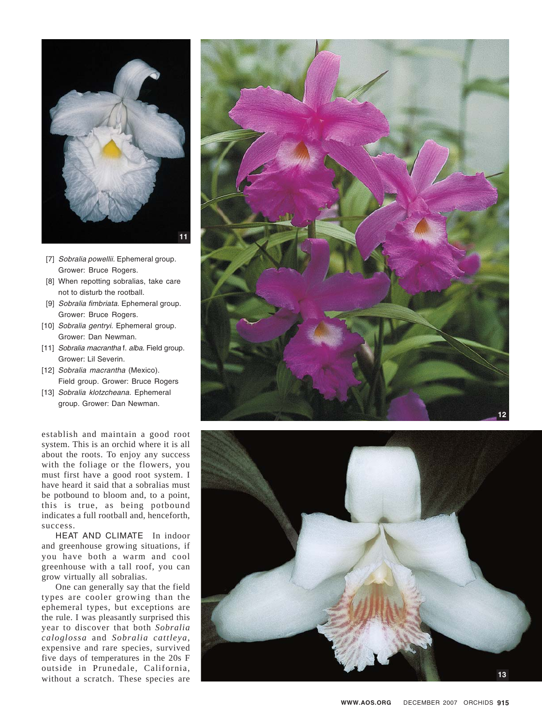

- [7] Sobralia powellii. Ephemeral group. Grower: Bruce Rogers.
- When repotting sobralias, take care [8] not to disturb the rootball.
- [9] Sobralia fimbriata. Ephemeral group. Grower: Bruce Rogers.
- [10] Sobralia gentryi. Ephemeral group. Grower: Dan Newman.
- [11] Sobralia macrantha f. alba. Field group. Grower: Lil Severin.
- [12] Sobralia macrantha (Mexico). Field group. Grower: Bruce Rogers
- [13] Sobralia klotzcheana. Ephemeral group. Grower: Dan Newman.

establish and maintain a good root system. This is an orchid where it is all about the roots. To enjoy any success with the foliage or the flowers, you must first have a good root system. I have heard it said that a sobralias must be potbound to bloom and, to a point, this is true, as being potbound indicates a full rootball and, henceforth, success.

HEAT AND CLIMATE In indoor and greenhouse growing situations, if you have both a warm and cool greenhouse with a tall roof, you can grow virtually all sobralias.

One can generally say that the field types are cooler growing than the ephemeral types, but exceptions are the rule. I was pleasantly surprised this year to discover that both *Sobralia caloglossa* and *Sobralia cattleya* , expensive and rare species, survived five days of temperatures in the 20s F outside in Prunedale, California, without a scratch. These species are



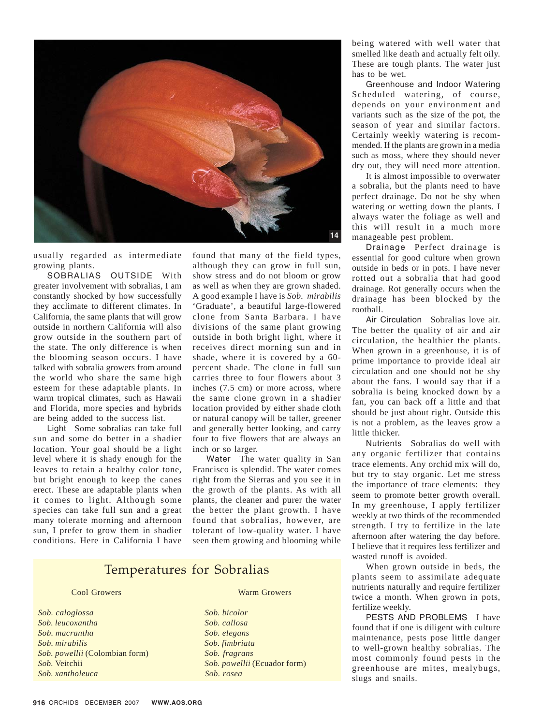

usually regarded as intermediate growing plants.

SOBRALIAS OUTSIDE With greater involvement with sobralias, I am constantly shocked by how successfully they acclimate to different climates. In California, the same plants that will grow outside in northern California will also grow outside in the southern part of the state. The only difference is when the blooming season occurs. I have talked with sobralia growers from around the world who share the same high esteem for these adaptable plants. In warm tropical climates, such as Hawaii and Florida, more species and hybrids are being added to the success list.

Light Some sobralias can take full sun and some do better in a shadier location. Your goal should be a light level where it is shady enough for the leaves to retain a healthy color tone, but bright enough to keep the canes erect. These are adaptable plants when it comes to light. Although some species can take full sun and a great many tolerate morning and afternoon sun, I prefer to grow them in shadier conditions. Here in California I have

found that many of the field types, although they can grow in full sun, show stress and do not bloom or grow as well as when they are grown shaded. A good example I have is *Sob. mirabilis* 'Graduate', a beautiful large-flowered clone from Santa Barbara. I have divisions of the same plant growing outside in both bright light, where it receives direct morning sun and in shade, where it is covered by a 60 percent shade. The clone in full sun carries three to four flowers about 3 inches (7.5 cm) or more across, where the same clone grown in a shadier location provided by either shade cloth or natural canopy will be taller, greener and generally better looking, and carry four to five flowers that are always an inch or so larger.

Water The water quality in San Francisco is splendid. The water comes right from the Sierras and you see it in the growth of the plants. As with all plants, the cleaner and purer the water the better the plant growth. I have found that sobralias, however, are tolerant of low-quality water. I have seen them growing and blooming while

## Temperatures for Sobralias

*Sob. caloglossa Sob. bicolor Sob. leucoxantha Sob. callosa Sob. macrantha Sob. elegans Sob. mirabilis Sob. fimbriata Sob. powellii* (Colombian form) *Sob. fragrans Sob.* Veitchii *Sob. powellii* (Ecuador form) *Sob. xantholeuca Sob. rosea*

## Cool Growers Warm Growers

being watered with well water that smelled like death and actually felt oily. These are tough plants. The water just has to be wet.

Greenhouse and Indoor Watering Scheduled watering, of course, depends on your environment and variants such as the size of the pot, the season of year and similar factors. Certainly weekly watering is recommended. If the plants are grown in a media such as moss, where they should never dry out, they will need more attention.

It is almost impossible to overwater a sobralia, but the plants need to have perfect drainage. Do not be shy when watering or wetting down the plants. I always water the foliage as well and this will result in a much more manageable pest problem.

Drainage Perfect drainage is essential for good culture when grown outside in beds or in pots. I have never rotted out a sobralia that had good drainage. Rot generally occurs when the drainage has been blocked by the rootball.

Air Circulation Sobralias love air. The better the quality of air and air circulation, the healthier the plants. When grown in a greenhouse, it is of prime importance to provide ideal air circulation and one should not be shy about the fans. I would say that if a sobralia is being knocked down by a fan, you can back off a little and that should be just about right. Outside this is not a problem, as the leaves grow a little thicker.

Nutrients Sobralias do well with any organic fertilizer that contains trace elements. Any orchid mix will do, but try to stay organic. Let me stress the importance of trace elements: they seem to promote better growth overall. In my greenhouse, I apply fertilizer weekly at two thirds of the recommended strength. I try to fertilize in the late afternoon after watering the day before. I believe that it requires less fertilizer and wasted runoff is avoided.

When grown outside in beds, the plants seem to assimilate adequate nutrients naturally and require fertilizer twice a month. When grown in pots, fertilize weekly.

PESTS AND PROBLEMS I have found that if one is diligent with culture maintenance, pests pose little danger to well-grown healthy sobralias. The most commonly found pests in the greenhouse are mites, mealybugs, slugs and snails.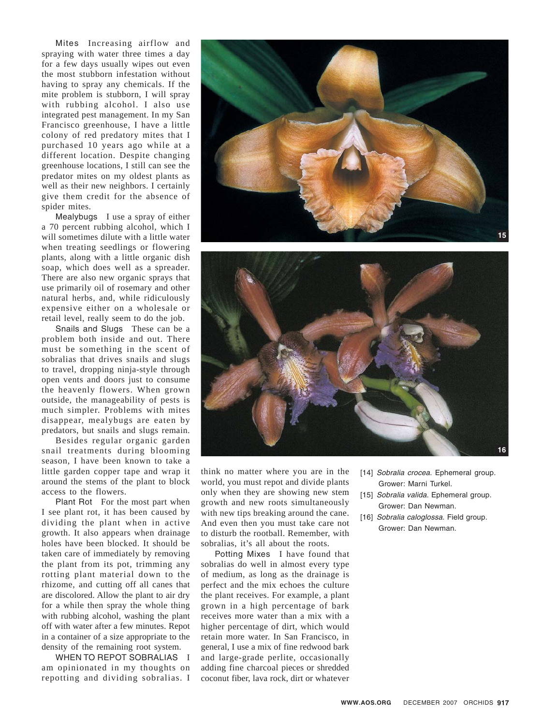Mites Increasing airflow and spraying with water three times a day for a few days usually wipes out even the most stubborn infestation without having to spray any chemicals. If the mite problem is stubborn, I will spray with rubbing alcohol. I also use integrated pest management. In my San Francisco greenhouse, I have a little colony of red predatory mites that I purchased 10 years ago while at a different location. Despite changing greenhouse locations, I still can see the predator mites on my oldest plants as well as their new neighbors. I certainly give them credit for the absence of spider mites.

Mealybugs I use a spray of either a 70 percent rubbing alcohol, which I will sometimes dilute with a little water when treating seedlings or flowering plants, along with a little organic dish soap, which does well as a spreader. There are also new organic sprays that use primarily oil of rosemary and other natural herbs, and, while ridiculously expensive either on a wholesale or retail level, really seem to do the job.

Snails and Slugs These can be a problem both inside and out. There must be something in the scent of sobralias that drives snails and slugs to travel, dropping ninja-style through open vents and doors just to consume the heavenly flowers. When grown outside, the manageability of pests is much simpler. Problems with mites disappear, mealybugs are eaten by predators, but snails and slugs remain.

Besides regular organic garden snail treatments during blooming season, I have been known to take a little garden copper tape and wrap it around the stems of the plant to block access to the flowers.

Plant Rot For the most part when I see plant rot, it has been caused by dividing the plant when in active growth. It also appears when drainage holes have been blocked. It should be taken care of immediately by removing the plant from its pot, trimming any rotting plant material down to the rhizome, and cutting off all canes that are discolored. Allow the plant to air dry for a while then spray the whole thing with rubbing alcohol, washing the plant off with water after a few minutes. Repot in a container of a size appropriate to the density of the remaining root system.

WHEN TO REPOT SOBRALIAS I am opinionated in my thoughts on repotting and dividing sobralias. I





think no matter where you are in the world, you must repot and divide plants only when they are showing new stem growth and new roots simultaneously with new tips breaking around the cane. And even then you must take care not to disturb the rootball. Remember, with sobralias, it's all about the roots.

Potting Mixes I have found that sobralias do well in almost every type of medium, as long as the drainage is perfect and the mix echoes the culture the plant receives. For example, a plant grown in a high percentage of bark receives more water than a mix with a higher percentage of dirt, which would retain more water. In San Francisco, in general, I use a mix of fine redwood bark and large-grade perlite, occasionally adding fine charcoal pieces or shredded coconut fiber, lava rock, dirt or whatever

- [14] Sobralia crocea. Ephemeral group. Grower: Marni Turkel.
- [15] Sobralia valida. Ephemeral group. Grower: Dan Newman.
- [16] Sobralia caloglossa. Field group. Grower: Dan Newman.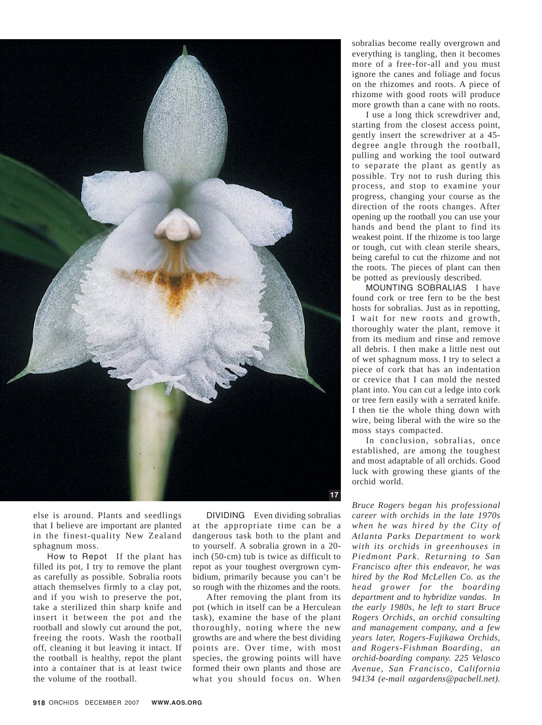

else is around. Plants and seedlings that I believe are important are planted in the finest-quality New Zealand sphagnum moss.

How to Repot If the plant has filled its pot, I try to remove the plant as carefully as possible. Sobralia roots attach themselves firmly to a clay pot, and if you wish to preserve the pot, take a sterilized thin sharp knife and insert it between the pot and the rootball and slowly cut around the pot, freeing the roots. Wash the rootball off, cleaning it but leaving it intact. If the rootball is healthy, repot the plant into a container that is at least twice the volume of the rootball.

DIVIDING Even dividing sobralias at the appropriate time can be a dangerous task both to the plant and to yourself. A sobralia grown in a 20 inch (50-cm) tub is twice as difficult to repot as your toughest overgrown cymbidium, primarily because you can't be so rough with the rhizomes and the roots.

After removing the plant from its pot (which in itself can be a Herculean task), examine the base of the plant thoroughly, noting where the new growths are and where the best dividing points are. Over time, with most species, the growing points will have formed their own plants and those are what you should focus on. When sobralias become really overgrown and everything is tangling, then it becomes more of a free-for-all and you must ignore the canes and foliage and focus on the rhizomes and roots. A piece of rhizome with good roots will produce more growth than a cane with no roots.

I use a long thick screwdriver and, starting from the closest access point, gently insert the screwdriver at a 45 degree angle through the rootball, pulling and working the tool outward to separate the plant as gently as possible. Try not to rush during this process, and stop to examine your progress, changing your course as the direction of the roots changes. After opening up the rootball you can use your hands and bend the plant to find its weakest point. If the rhizome is too large or tough, cut with clean sterile shears, being careful to cut the rhizome and not the roots. The pieces of plant can then be potted as previously described.

MOUNTING SOBRALIAS I have found cork or tree fern to be the best hosts for sobralias. Just as in repotting, I wait for new roots and growth, thoroughly water the plant, remove it from its medium and rinse and remove all debris. I then make a little nest out of wet sphagnum moss. I try to select a piece of cork that has an indentation or crevice that I can mold the nested plant into. You can cut a ledge into cork or tree fern easily with a serrated knife. I then tie the whole thing down with wire, being liberal with the wire so the moss stays compacted.

In conclusion, sobralias, once established, are among the toughest and most adaptable of all orchids. Good luck with growing these giants of the orchid world.

*Bruce Rogers began his professional career with orchids in the late 1970s when he was hired by the City of Atlanta Parks Department to work with its orchids in greenhouses in Piedmont Park. Returning to San Francisco after this endeavor, he was hired by the Rod McLellen Co. as the head grower for the boarding department and to hybridize vandas. In the early 1980s, he left to start Bruce Rogers Orchids, an orchid consulting and management company, and a few years later, Rogers-Fujikawa Orchids, and Rogers-Fishman Boarding, an orchid-boarding company. 225 Velasco Avenue, San Francisco, California 94134 (e-mail ozgardens@pacbell.net).*